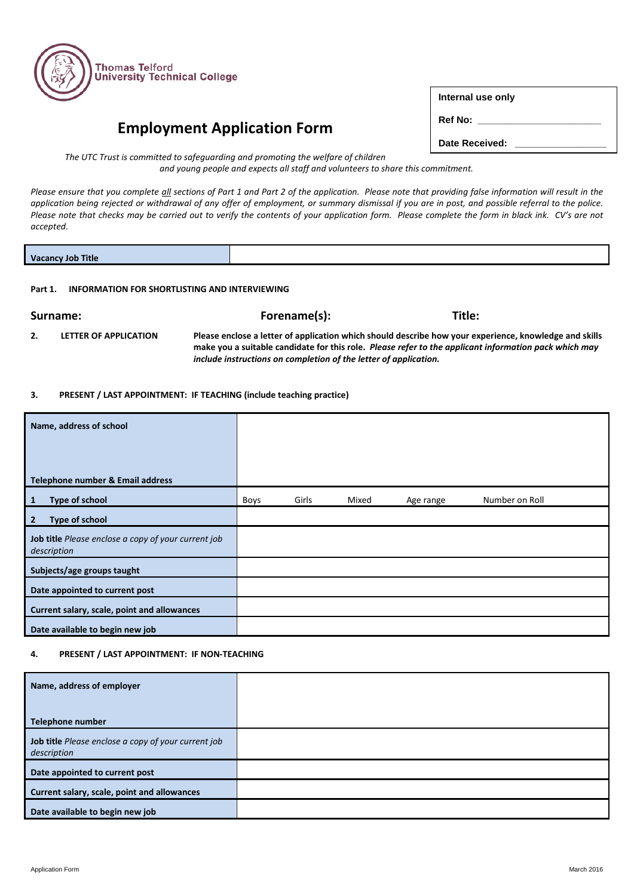

# **Employment Application Form**

**Internal use only Ref No: \_\_\_\_\_\_\_\_\_\_\_\_\_\_\_\_\_\_\_\_\_\_\_** Date Received:

*The UTC Trust is committed to safeguarding and promoting the welfare of children and young people and expects all staff and volunteers to share this commitment.*

*Please ensure that you complete all sections of Part 1 and Part 2 of the application. Please note that providing false information will result in the application being rejected or withdrawal of any offer of employment, or summary dismissal if you are in post, and possible referral to the police. Please note that checks may be carried out to verify the contents of your application form. Please complete the form in black ink. CV's are not accepted.*

**Vacancy Job Title**

## **Part 1. INFORMATION FOR SHORTLISTING AND INTERVIEWING**

**Surname: Forename(s): Title:**

**2. LETTER OF APPLICATION Please enclose a letter of application which should describe how your experience, knowledge and skills make you a suitable candidate for this role.** *Please refer to the applicant information pack which may include instructions on completion of the letter of application.*

# **3. PRESENT / LAST APPOINTMENT: IF TEACHING (include teaching practice)**

| Name, address of school                                            |      |       |       |           |                |
|--------------------------------------------------------------------|------|-------|-------|-----------|----------------|
|                                                                    |      |       |       |           |                |
| Telephone number & Email address                                   |      |       |       |           |                |
| Type of school<br>1                                                | Boys | Girls | Mixed | Age range | Number on Roll |
| $\overline{2}$<br>Type of school                                   |      |       |       |           |                |
| Job title Please enclose a copy of your current job<br>description |      |       |       |           |                |
| Subjects/age groups taught                                         |      |       |       |           |                |
| Date appointed to current post                                     |      |       |       |           |                |
| Current salary, scale, point and allowances                        |      |       |       |           |                |
| Date available to begin new job                                    |      |       |       |           |                |

### **4. PRESENT / LAST APPOINTMENT: IF NON-TEACHING**

| Name, address of employer                                          |  |
|--------------------------------------------------------------------|--|
| Telephone number                                                   |  |
| Job title Please enclose a copy of your current job<br>description |  |
| Date appointed to current post                                     |  |
| Current salary, scale, point and allowances                        |  |
| Date available to begin new job                                    |  |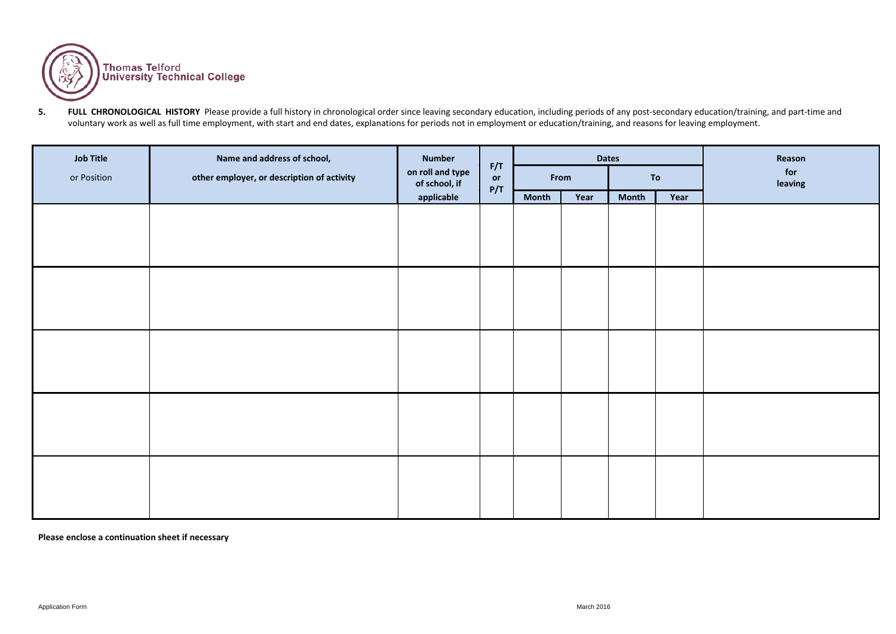

5. FULL CHRONOLOGICAL HISTORY Please provide a full history in chronological order since leaving secondary education, including periods of any post-secondary education/training, and part-time and voluntary work as well as full time employment, with start and end dates, explanations for periods not in employment or education/training, and reasons for leaving employment.

| <b>Job Title</b> | Name and address of school,                |                                   |                  |              |      | <b>Dates</b> |      | Reason         |
|------------------|--------------------------------------------|-----------------------------------|------------------|--------------|------|--------------|------|----------------|
| or Position      | other employer, or description of activity | on roll and type<br>of school, if | F/T<br>or<br>P/T |              | From |              | To   | for<br>leaving |
|                  |                                            | applicable                        |                  | <b>Month</b> | Year | <b>Month</b> | Year |                |
|                  |                                            |                                   |                  |              |      |              |      |                |
|                  |                                            |                                   |                  |              |      |              |      |                |
|                  |                                            |                                   |                  |              |      |              |      |                |
|                  |                                            |                                   |                  |              |      |              |      |                |
|                  |                                            |                                   |                  |              |      |              |      |                |
|                  |                                            |                                   |                  |              |      |              |      |                |
|                  |                                            |                                   |                  |              |      |              |      |                |
|                  |                                            |                                   |                  |              |      |              |      |                |
|                  |                                            |                                   |                  |              |      |              |      |                |
|                  |                                            |                                   |                  |              |      |              |      |                |
|                  |                                            |                                   |                  |              |      |              |      |                |
|                  |                                            |                                   |                  |              |      |              |      |                |
|                  |                                            |                                   |                  |              |      |              |      |                |
|                  |                                            |                                   |                  |              |      |              |      |                |
|                  |                                            |                                   |                  |              |      |              |      |                |
|                  |                                            |                                   |                  |              |      |              |      |                |
|                  |                                            |                                   |                  |              |      |              |      |                |
|                  |                                            |                                   |                  |              |      |              |      |                |

**Please enclose a continuation sheet if necessary**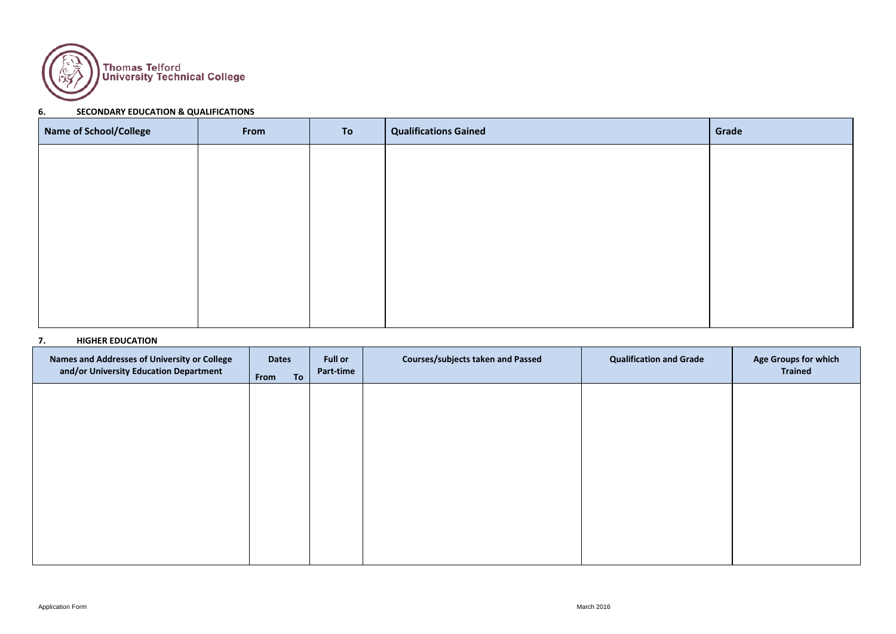

#### **6. SECONDARY EDUCATION & QUALIFICATIONS**

| <b>Name of School/College</b> | From | To | <b>Qualifications Gained</b> | Grade |
|-------------------------------|------|----|------------------------------|-------|
|                               |      |    |                              |       |
|                               |      |    |                              |       |
|                               |      |    |                              |       |
|                               |      |    |                              |       |
|                               |      |    |                              |       |
|                               |      |    |                              |       |
|                               |      |    |                              |       |

#### **7. HIGHER EDUCATION**

| Names and Addresses of University or College<br>and/or University Education Department | <b>Dates</b><br>To<br>From | <b>Full or</b><br>Part-time | <b>Courses/subjects taken and Passed</b> | <b>Qualification and Grade</b> | Age Groups for which<br><b>Trained</b> |
|----------------------------------------------------------------------------------------|----------------------------|-----------------------------|------------------------------------------|--------------------------------|----------------------------------------|
|                                                                                        |                            |                             |                                          |                                |                                        |
|                                                                                        |                            |                             |                                          |                                |                                        |
|                                                                                        |                            |                             |                                          |                                |                                        |
|                                                                                        |                            |                             |                                          |                                |                                        |
|                                                                                        |                            |                             |                                          |                                |                                        |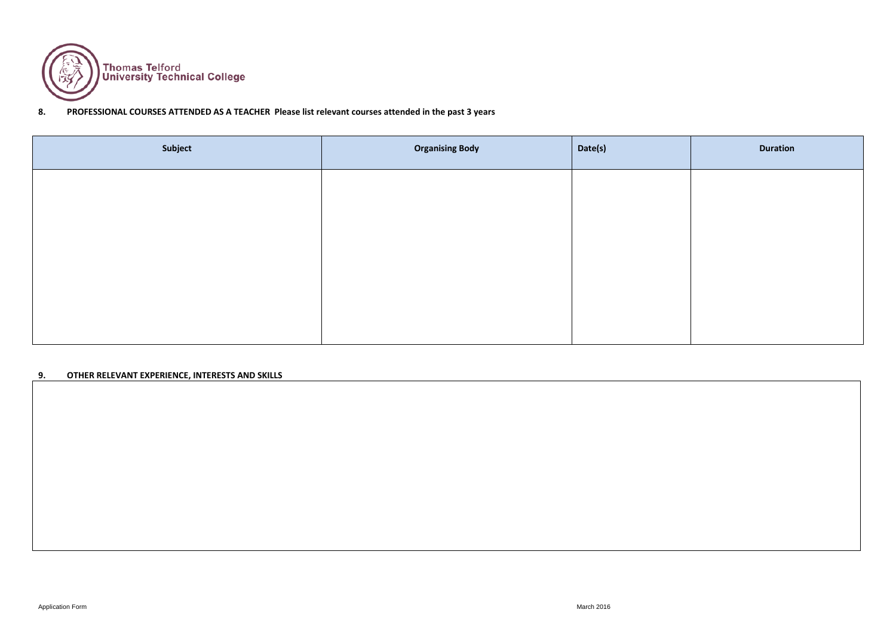

# **8. PROFESSIONAL COURSES ATTENDED AS A TEACHER Please list relevant courses attended in the past 3 years**

| Subject | <b>Organising Body</b> | Date(s) | <b>Duration</b> |
|---------|------------------------|---------|-----------------|
|         |                        |         |                 |
|         |                        |         |                 |
|         |                        |         |                 |
|         |                        |         |                 |
|         |                        |         |                 |

# **9. OTHER RELEVANT EXPERIENCE, INTERESTS AND SKILLS**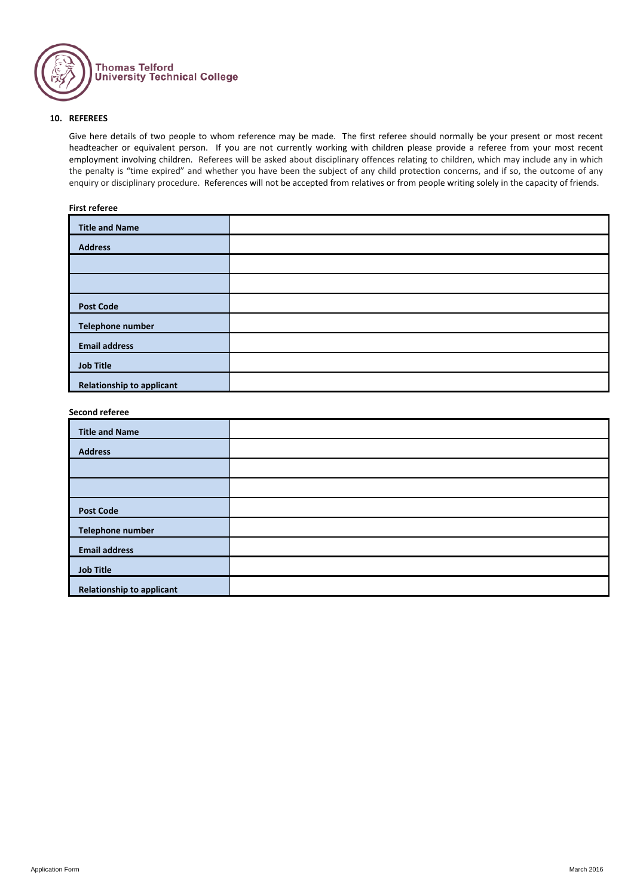

# **10. REFEREES**

Give here details of two people to whom reference may be made. The first referee should normally be your present or most recent headteacher or equivalent person. If you are not currently working with children please provide a referee from your most recent employment involving children. Referees will be asked about disciplinary offences relating to children, which may include any in which the penalty is "time expired" and whether you have been the subject of any child protection concerns, and if so, the outcome of any enquiry or disciplinary procedure. References will not be accepted from relatives or from people writing solely in the capacity of friends.

#### **First referee**

| <b>Title and Name</b>            |  |
|----------------------------------|--|
| <b>Address</b>                   |  |
|                                  |  |
|                                  |  |
| <b>Post Code</b>                 |  |
| <b>Telephone number</b>          |  |
| <b>Email address</b>             |  |
| <b>Job Title</b>                 |  |
| <b>Relationship to applicant</b> |  |

### **Second referee**

| <b>Title and Name</b>            |  |
|----------------------------------|--|
| <b>Address</b>                   |  |
|                                  |  |
|                                  |  |
| <b>Post Code</b>                 |  |
| Telephone number                 |  |
| <b>Email address</b>             |  |
| <b>Job Title</b>                 |  |
| <b>Relationship to applicant</b> |  |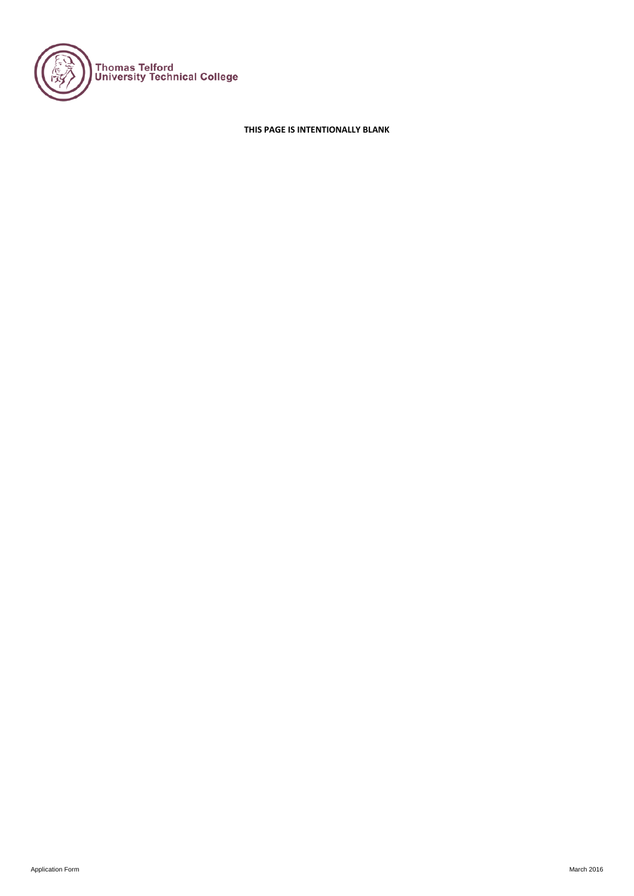

**THIS PAGE IS INTENTIONALLY BLANK**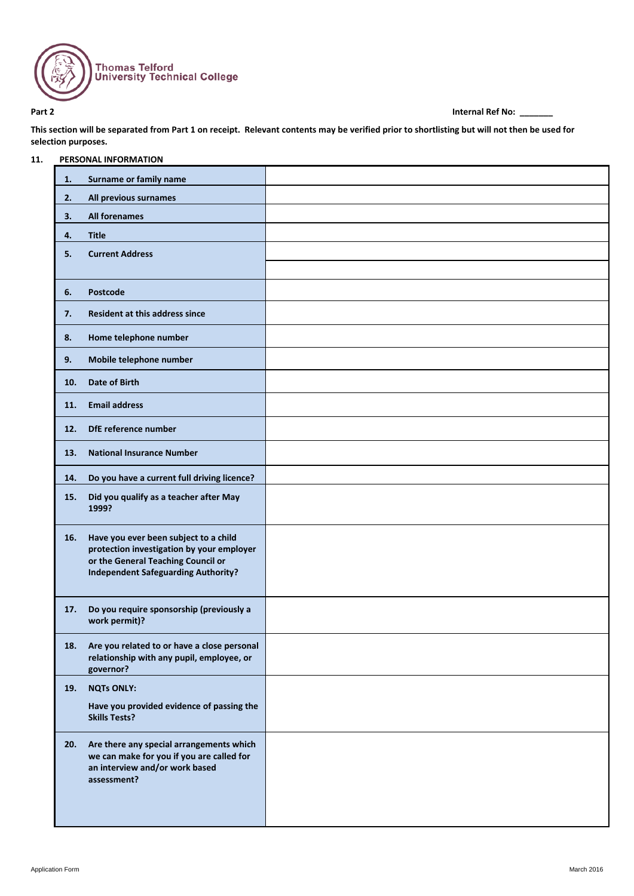

**Part 2 Internal Ref No: \_\_\_\_\_\_\_**

**This section will be separated from Part 1 on receipt. Relevant contents may be verified prior to shortlisting but will not then be used for selection purposes.**

# **11. PERSONAL INFORMATION**

| 1.  | Surname or family name                                                                                                                                                 |  |
|-----|------------------------------------------------------------------------------------------------------------------------------------------------------------------------|--|
| 2.  | All previous surnames                                                                                                                                                  |  |
| 3.  | <b>All forenames</b>                                                                                                                                                   |  |
| 4.  | <b>Title</b>                                                                                                                                                           |  |
| 5.  | <b>Current Address</b>                                                                                                                                                 |  |
|     |                                                                                                                                                                        |  |
| 6.  | Postcode                                                                                                                                                               |  |
| 7.  | <b>Resident at this address since</b>                                                                                                                                  |  |
| 8.  | Home telephone number                                                                                                                                                  |  |
| 9.  | Mobile telephone number                                                                                                                                                |  |
| 10. | Date of Birth                                                                                                                                                          |  |
| 11. | <b>Email address</b>                                                                                                                                                   |  |
| 12. | DfE reference number                                                                                                                                                   |  |
| 13. | <b>National Insurance Number</b>                                                                                                                                       |  |
| 14. | Do you have a current full driving licence?                                                                                                                            |  |
| 15. | Did you qualify as a teacher after May<br>1999?                                                                                                                        |  |
| 16. | Have you ever been subject to a child<br>protection investigation by your employer<br>or the General Teaching Council or<br><b>Independent Safeguarding Authority?</b> |  |
| 17. | Do you require sponsorship (previously a<br>work permit)?                                                                                                              |  |
| 18. | Are you related to or have a close personal<br>relationship with any pupil, employee, or<br>governor?                                                                  |  |
| 19. | <b>NQTs ONLY:</b>                                                                                                                                                      |  |
|     | Have you provided evidence of passing the<br><b>Skills Tests?</b>                                                                                                      |  |
| 20. | Are there any special arrangements which<br>we can make for you if you are called for<br>an interview and/or work based<br>assessment?                                 |  |
|     |                                                                                                                                                                        |  |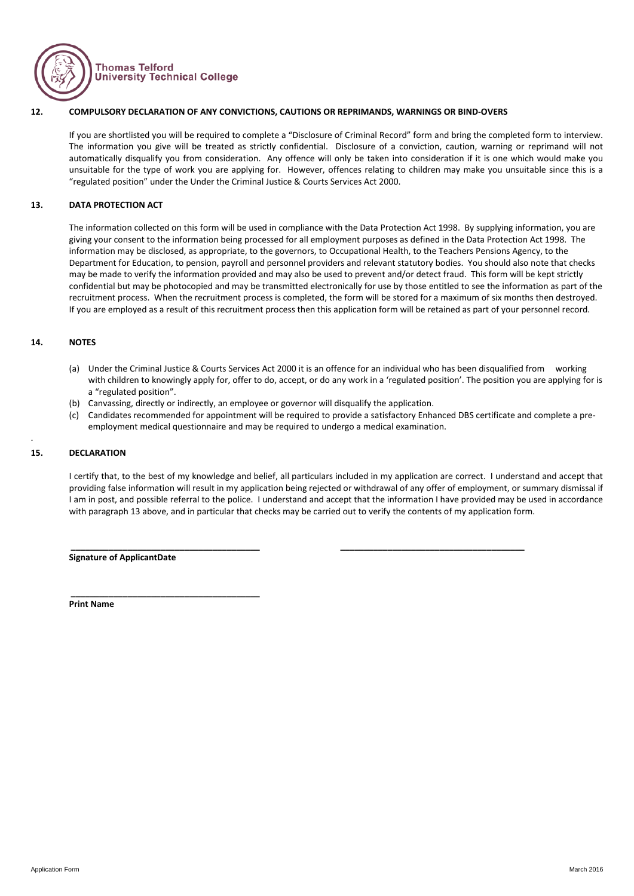

# **12. COMPULSORY DECLARATION OF ANY CONVICTIONS, CAUTIONS OR REPRIMANDS, WARNINGS OR BIND-OVERS**

If you are shortlisted you will be required to complete a "Disclosure of Criminal Record" form and bring the completed form to interview. The information you give will be treated as strictly confidential. Disclosure of a conviction, caution, warning or reprimand will not automatically disqualify you from consideration. Any offence will only be taken into consideration if it is one which would make you unsuitable for the type of work you are applying for. However, offences relating to children may make you unsuitable since this is a "regulated position" under the Under the Criminal Justice & Courts Services Act 2000.

### **13. DATA PROTECTION ACT**

The information collected on this form will be used in compliance with the Data Protection Act 1998. By supplying information, you are giving your consent to the information being processed for all employment purposes as defined in the Data Protection Act 1998. The information may be disclosed, as appropriate, to the governors, to Occupational Health, to the Teachers Pensions Agency, to the Department for Education, to pension, payroll and personnel providers and relevant statutory bodies. You should also note that checks may be made to verify the information provided and may also be used to prevent and/or detect fraud. This form will be kept strictly confidential but may be photocopied and may be transmitted electronically for use by those entitled to see the information as part of the recruitment process. When the recruitment process is completed, the form will be stored for a maximum of six months then destroyed. If you are employed as a result of this recruitment process then this application form will be retained as part of your personnel record.

### **14. NOTES**

- (a) Under the Criminal Justice & Courts Services Act 2000 it is an offence for an individual who has been disqualified from working with children to knowingly apply for, offer to do, accept, or do any work in a 'regulated position'. The position you are applying for is a "regulated position".
- (b) Canvassing, directly or indirectly, an employee or governor will disqualify the application.
- (c) Candidates recommended for appointment will be required to provide a satisfactory Enhanced DBS certificate and complete a preemployment medical questionnaire and may be required to undergo a medical examination.

#### **15. DECLARATION**

.

I certify that, to the best of my knowledge and belief, all particulars included in my application are correct. I understand and accept that providing false information will result in my application being rejected or withdrawal of any offer of employment, or summary dismissal if I am in post, and possible referral to the police. I understand and accept that the information I have provided may be used in accordance with paragraph 13 above, and in particular that checks may be carried out to verify the contents of my application form.

**\_\_\_\_\_\_\_\_\_\_\_\_\_\_\_\_\_\_\_\_\_\_\_\_\_\_\_\_\_\_\_\_\_\_\_\_\_\_\_\_ \_\_\_\_\_\_\_\_\_\_\_\_\_\_\_\_\_\_\_\_\_\_\_\_\_\_\_\_\_\_\_\_\_\_\_\_\_\_\_**

**Signature of ApplicantDate**

**\_\_\_\_\_\_\_\_\_\_\_\_\_\_\_\_\_\_\_\_\_\_\_\_\_\_\_\_\_\_\_\_\_\_\_\_\_\_\_\_ Print Name**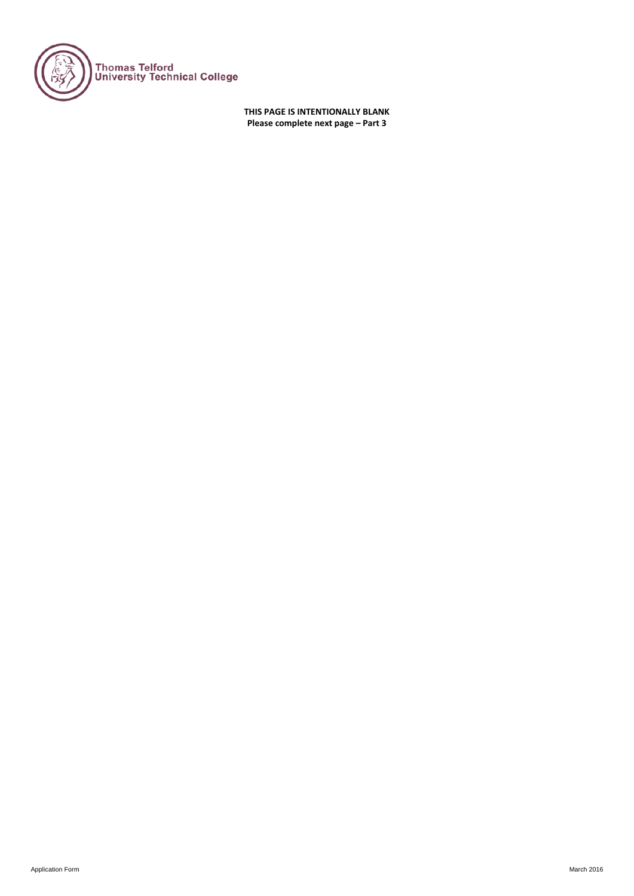

**Thomas Telford<br>University Technical College** 

**THIS PAGE IS INTENTIONALLY BLANK Please complete next page – Part 3**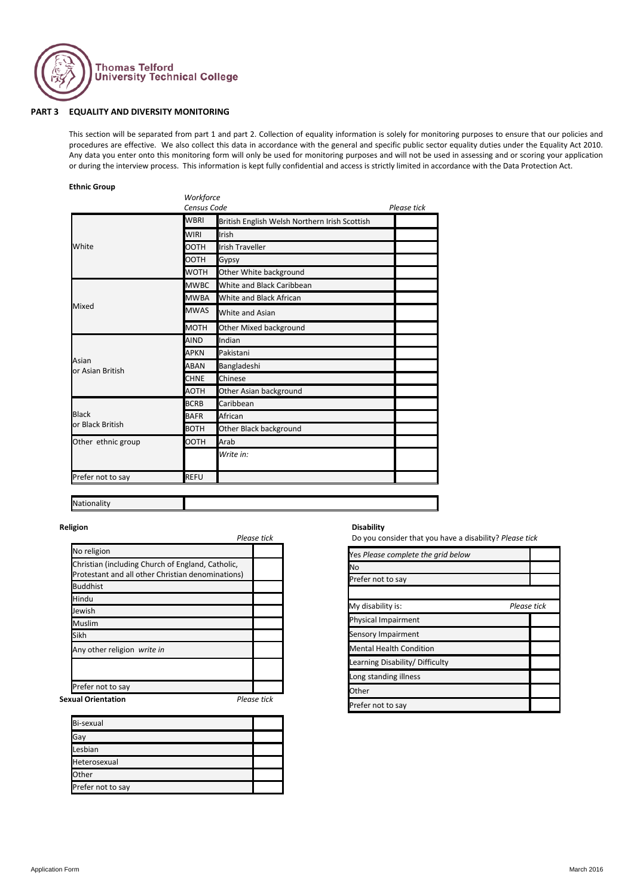

# **PART 3 EQUALITY AND DIVERSITY MONITORING**

This section will be separated from part 1 and part 2. Collection of equality information is solely for monitoring purposes to ensure that our policies and procedures are effective. We also collect this data in accordance with the general and specific public sector equality duties under the Equality Act 2010. Any data you enter onto this monitoring form will only be used for monitoring purposes and will not be used in assessing and or scoring your application or during the interview process. This information is kept fully confidential and access is strictly limited in accordance with the Data Protection Act.

#### **Ethnic Group**

|                           | Workforce   |                                               |             |
|---------------------------|-------------|-----------------------------------------------|-------------|
|                           | Census Code |                                               | Please tick |
|                           | <b>WBRI</b> | British English Welsh Northern Irish Scottish |             |
|                           | <b>WIRI</b> | Irish                                         |             |
| White                     | <b>OOTH</b> | <b>Irish Traveller</b>                        |             |
|                           | <b>OOTH</b> | Gypsy                                         |             |
|                           | <b>WOTH</b> | Other White background                        |             |
|                           | <b>MWBC</b> | White and Black Caribbean                     |             |
| Mixed                     | <b>MWBA</b> | White and Black African                       |             |
|                           | <b>MWAS</b> | White and Asian                               |             |
|                           | <b>MOTH</b> | Other Mixed background                        |             |
|                           | <b>AIND</b> | Indian                                        |             |
|                           | <b>APKN</b> | Pakistani                                     |             |
| Asian<br>or Asian British | <b>ABAN</b> | Bangladeshi                                   |             |
|                           | <b>CHNE</b> | Chinese                                       |             |
|                           | <b>AOTH</b> | Other Asian background                        |             |
|                           | <b>BCRB</b> | Caribbean                                     |             |
| <b>Black</b>              | <b>BAFR</b> | African                                       |             |
| or Black British          | <b>BOTH</b> | Other Black background                        |             |
| Other ethnic group        | OOTH        | Arab                                          |             |
|                           |             | Write in:                                     |             |
| Prefer not to say         | <b>REFU</b> |                                               |             |

Nationality

|                                                                                                        | Please tick |
|--------------------------------------------------------------------------------------------------------|-------------|
| No religion                                                                                            |             |
| Christian (including Church of England, Catholic,<br>Protestant and all other Christian denominations) |             |
| <b>Buddhist</b>                                                                                        |             |
| Hindu                                                                                                  |             |
| Jewish                                                                                                 |             |
| <b>Muslim</b>                                                                                          |             |
| Sikh                                                                                                   |             |
| Any other religion write in                                                                            |             |
|                                                                                                        |             |
| Prefer not to say                                                                                      |             |

**Sexual Orientation** *Please tick*

| Bi-sexual         |  |
|-------------------|--|
| Gay               |  |
| Lesbian           |  |
| Heterosexual      |  |
| Other             |  |
| Prefer not to say |  |

#### **Religion Disability**

*Please tick* Do you consider that you have a disability? *Please tick*

| Yes Please complete the grid below |             |  |
|------------------------------------|-------------|--|
| No                                 |             |  |
| Prefer not to say                  |             |  |
|                                    |             |  |
| My disability is:                  | Please tick |  |
| <b>Physical Impairment</b>         |             |  |
| Sensory Impairment                 |             |  |
| <b>Mental Health Condition</b>     |             |  |
| Learning Disability/ Difficulty    |             |  |
| Long standing illness              |             |  |
| Other                              |             |  |
| Prefer not to say                  |             |  |